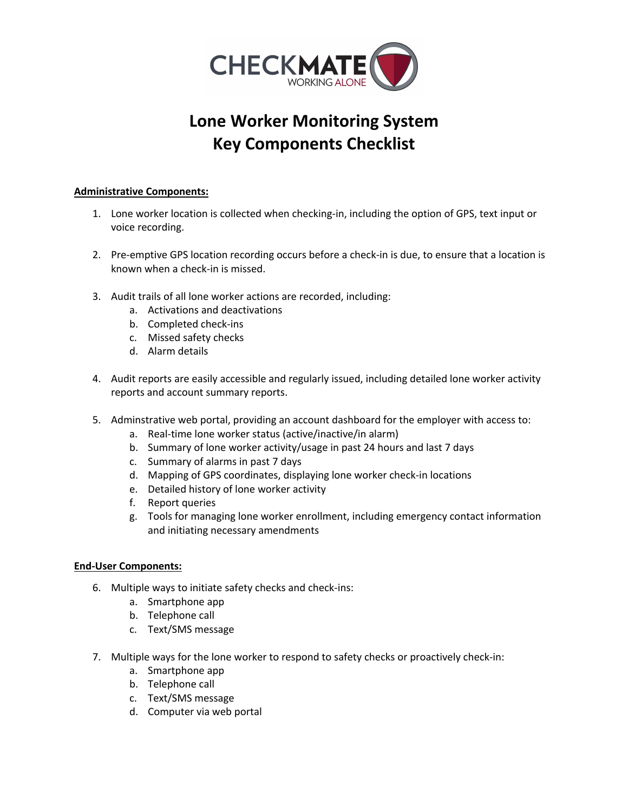

## **Lone Worker Monitoring System Key Components Checklist**

## **Administrative Components:**

- 1. Lone worker location is collected when checking-in, including the option of GPS, text input or voice recording.
- 2. Pre-emptive GPS location recording occurs before a check-in is due, to ensure that a location is known when a check-in is missed.
- 3. Audit trails of all lone worker actions are recorded, including:
	- a. Activations and deactivations
	- b. Completed check-ins
	- c. Missed safety checks
	- d. Alarm details
- 4. Audit reports are easily accessible and regularly issued, including detailed lone worker activity reports and account summary reports.
- 5. Adminstrative web portal, providing an account dashboard for the employer with access to:
	- a. Real-time lone worker status (active/inactive/in alarm)
	- b. Summary of lone worker activity/usage in past 24 hours and last 7 days
	- c. Summary of alarms in past 7 days
	- d. Mapping of GPS coordinates, displaying lone worker check-in locations
	- e. Detailed history of lone worker activity
	- f. Report queries
	- g. Tools for managing lone worker enrollment, including emergency contact information and initiating necessary amendments

## **End-User Components:**

- 6. Multiple ways to initiate safety checks and check-ins:
	- a. Smartphone app
	- b. Telephone call
	- c. Text/SMS message
- 7. Multiple ways for the lone worker to respond to safety checks or proactively check-in:
	- a. Smartphone app
	- b. Telephone call
	- c. Text/SMS message
	- d. Computer via web portal